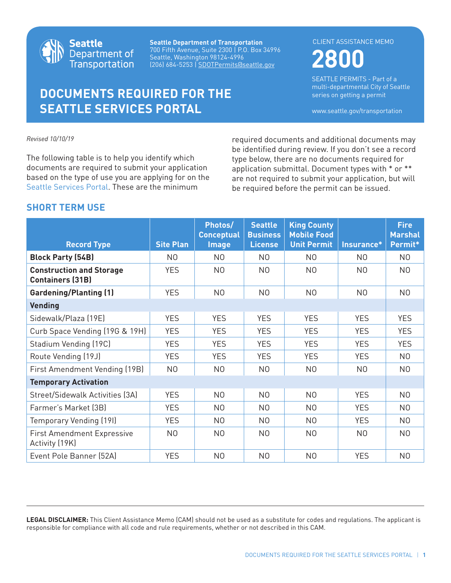

**Seattle Department of Transportation** 700 Fifth Avenue, Suite 2300 | P.O. Box 34996 Seattle, Washington 98124-4996 (206) 684-5253 | SDOTPermits@seattle.gov

# **DOCUMENTS REQUIRED FOR THE SEATTLE SERVICES PORTAL**

**2800** CLIENT ASSISTANCE MEMO

SEATTLE PERMITS - Part of a multi-departmental City of Seattle series on getting a permit

www.seattle.gov/transportation

*Revised 10/10/19*

The following table is to help you identify which documents are required to submit your application based on the type of use you are applying for on the [Seattle Services Portal.](https://cosaccela.seattle.gov/portal/welcome.aspx) These are the minimum

required documents and additional documents may be identified during review. If you don't see a record type below, there are no documents required for application submittal. Document types with \* or \*\* are not required to submit your application, but will be required before the permit can be issued.

## **SHORT TERM USE**

| <b>Record Type</b>                                         | <b>Site Plan</b> | Photos/<br><b>Conceptual</b><br><b>Image</b> | <b>Seattle</b><br><b>Business</b><br><b>License</b> | <b>King County</b><br><b>Mobile Food</b><br><b>Unit Permit</b> | Insurance*     | <b>Fire</b><br><b>Marshal</b><br>Permit* |
|------------------------------------------------------------|------------------|----------------------------------------------|-----------------------------------------------------|----------------------------------------------------------------|----------------|------------------------------------------|
|                                                            |                  |                                              |                                                     |                                                                |                |                                          |
| <b>Block Party (54B)</b>                                   | N <sub>0</sub>   | N <sub>0</sub>                               | N <sub>0</sub>                                      | N <sub>0</sub>                                                 | N <sub>0</sub> | N <sub>0</sub>                           |
| <b>Construction and Storage</b><br><b>Containers (31B)</b> | <b>YES</b>       | N <sub>0</sub>                               | N <sub>0</sub>                                      | N <sub>0</sub>                                                 | N <sub>O</sub> | N <sub>0</sub>                           |
| <b>Gardening/Planting (1)</b>                              | <b>YES</b>       | N <sub>0</sub>                               | N <sub>0</sub>                                      | N <sub>0</sub>                                                 | N <sub>0</sub> | N <sub>0</sub>                           |
| <b>Vending</b>                                             |                  |                                              |                                                     |                                                                |                |                                          |
| Sidewalk/Plaza (19E)                                       | <b>YES</b>       | <b>YES</b>                                   | <b>YES</b>                                          | <b>YES</b>                                                     | <b>YES</b>     | <b>YES</b>                               |
| Curb Space Vending (19G & 19H)                             | <b>YES</b>       | <b>YES</b>                                   | <b>YES</b>                                          | <b>YES</b>                                                     | <b>YES</b>     | <b>YES</b>                               |
| Stadium Vending (19C)                                      | <b>YES</b>       | <b>YES</b>                                   | <b>YES</b>                                          | <b>YES</b>                                                     | <b>YES</b>     | <b>YES</b>                               |
| Route Vending (19J)                                        | <b>YES</b>       | <b>YES</b>                                   | <b>YES</b>                                          | <b>YES</b>                                                     | <b>YES</b>     | N <sub>0</sub>                           |
| First Amendment Vending (19B)                              | N <sub>0</sub>   | N <sub>0</sub>                               | N <sub>0</sub>                                      | N <sub>0</sub>                                                 | N <sub>0</sub> | N <sub>0</sub>                           |
| <b>Temporary Activation</b>                                |                  |                                              |                                                     |                                                                |                |                                          |
| Street/Sidewalk Activities (3A)                            | <b>YES</b>       | N <sub>O</sub>                               | N <sub>0</sub>                                      | N <sub>0</sub>                                                 | <b>YES</b>     | N <sub>O</sub>                           |
| Farmer's Market (3B)                                       | <b>YES</b>       | N <sub>O</sub>                               | N <sub>0</sub>                                      | N <sub>0</sub>                                                 | <b>YES</b>     | N <sub>O</sub>                           |
| Temporary Vending (19I)                                    | <b>YES</b>       | N <sub>0</sub>                               | N <sub>0</sub>                                      | N <sub>0</sub>                                                 | <b>YES</b>     | N <sub>0</sub>                           |
| <b>First Amendment Expressive</b><br>Activity (19K)        | N <sub>0</sub>   | N <sub>0</sub>                               | N <sub>0</sub>                                      | N <sub>0</sub>                                                 | N <sub>0</sub> | N <sub>0</sub>                           |
| Event Pole Banner (52A)                                    | <b>YES</b>       | N <sub>O</sub>                               | N <sub>0</sub>                                      | N <sub>0</sub>                                                 | <b>YES</b>     | N <sub>0</sub>                           |

**LEGAL DISCLAIMER:** This Client Assistance Memo (CAM) should not be used as a substitute for codes and regulations. The applicant is responsible for compliance with all code and rule requirements, whether or not described in this CAM.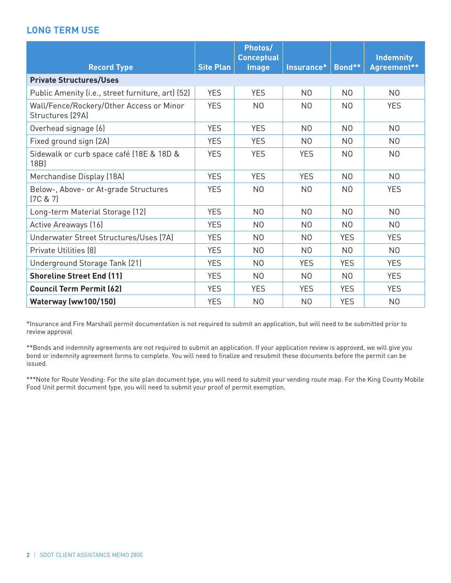# **LONG TERM USE**

|                                                              |                  | Photos/<br><b>Conceptual</b> |                |                | <b>Indemnity</b> |  |
|--------------------------------------------------------------|------------------|------------------------------|----------------|----------------|------------------|--|
| <b>Record Type</b>                                           | <b>Site Plan</b> | <b>Image</b>                 | Insurance*     | Bond**         | Agreement**      |  |
| <b>Private Structures/Uses</b>                               |                  |                              |                |                |                  |  |
| Public Amenity (i.e., street furniture, art) (52)            | <b>YES</b>       | <b>YES</b>                   | N <sub>0</sub> | N <sub>0</sub> | N <sub>0</sub>   |  |
| Wall/Fence/Rockery/Other Access or Minor<br>Structures (29A) | <b>YES</b>       | N <sub>0</sub>               | N <sub>0</sub> | N <sub>0</sub> | <b>YES</b>       |  |
| Overhead signage (6)                                         | <b>YES</b>       | <b>YES</b>                   | N <sub>0</sub> | N <sub>0</sub> | N <sub>0</sub>   |  |
| Fixed ground sign (2A)                                       | <b>YES</b>       | <b>YES</b>                   | N <sub>0</sub> | N <sub>0</sub> | N <sub>0</sub>   |  |
| Sidewalk or curb space café (18E & 18D &<br>18B)             | <b>YES</b>       | <b>YES</b>                   | <b>YES</b>     | N <sub>0</sub> | N <sub>0</sub>   |  |
| Merchandise Display (18A)                                    | <b>YES</b>       | <b>YES</b>                   | <b>YES</b>     | N <sub>0</sub> | N <sub>0</sub>   |  |
| Below-, Above- or At-grade Structures<br>[7C & 27]           | <b>YES</b>       | N <sub>0</sub>               | N <sub>0</sub> | N <sub>0</sub> | <b>YES</b>       |  |
| Long-term Material Storage (12)                              | <b>YES</b>       | N <sub>0</sub>               | N <sub>0</sub> | N <sub>0</sub> | N <sub>0</sub>   |  |
| Active Areaways (16)                                         | <b>YES</b>       | N <sub>0</sub>               | N <sub>0</sub> | N <sub>0</sub> | N <sub>0</sub>   |  |
| Underwater Street Structures/Uses (7A)                       | <b>YES</b>       | N <sub>0</sub>               | N <sub>0</sub> | <b>YES</b>     | <b>YES</b>       |  |
| <b>Private Utilities [8]</b>                                 | <b>YES</b>       | N <sub>0</sub>               | N <sub>0</sub> | N <sub>0</sub> | N <sub>O</sub>   |  |
| Underground Storage Tank (21)                                | <b>YES</b>       | N <sub>0</sub>               | <b>YES</b>     | <b>YES</b>     | <b>YES</b>       |  |
| <b>Shoreline Street End (11)</b>                             | <b>YES</b>       | N <sub>0</sub>               | N <sub>0</sub> | N <sub>0</sub> | <b>YES</b>       |  |
| <b>Council Term Permit (62)</b>                              | <b>YES</b>       | <b>YES</b>                   | <b>YES</b>     | <b>YES</b>     | <b>YES</b>       |  |
| Waterway (ww100/150)                                         | <b>YES</b>       | N <sub>0</sub>               | N <sub>0</sub> | <b>YES</b>     | N <sub>0</sub>   |  |

\*Insurance and Fire Marshall permit documentation is not required to submit an application, but will need to be submitted prior to review approval

\*\*Bonds and indemnity agreements are not required to submit an application. If your application review is approved, we will give you bond or indemnity agreement forms to complete. You will need to finalize and resubmit these documents before the permit can be issued.

\*\*\*Note for Route Vending: For the site plan document type, you will need to submit your vending route map. For the King County Mobile Food Unit permit document type, you will need to submit your proof of permit exemption.